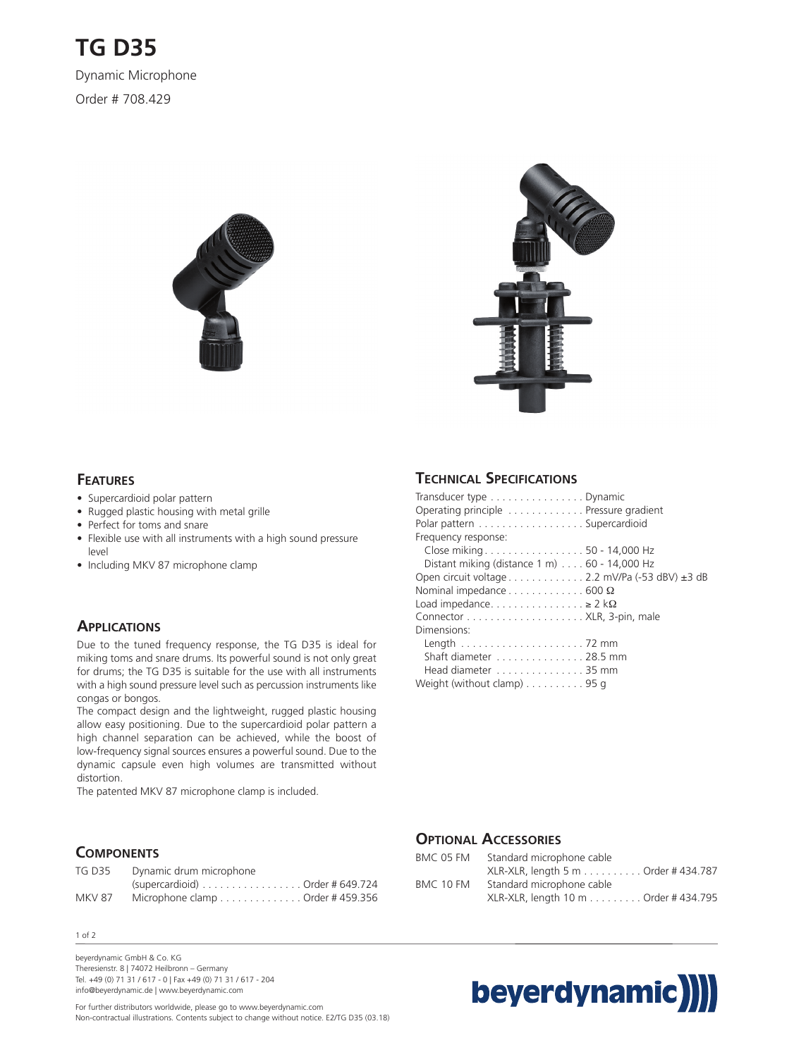



#### **FEATURES**

- Supercardioid polar pattern
- Rugged plastic housing with metal grille
- Perfect for toms and snare
- Flexible use with all instruments with a high sound pressure level
- Including MKV 87 microphone clamp

## **APPLICATIONS**

Due to the tuned frequency response, the TG D35 is ideal for miking toms and snare drums. Its powerful sound is not only great for drums; the TG D35 is suitable for the use with all instruments with a high sound pressure level such as percussion instruments like congas or bongos.

The compact design and the lightweight, rugged plastic housing allow easy positioning. Due to the supercardioid polar pattern a high channel separation can be achieved, while the boost of low-frequency signal sources ensures a powerful sound. Due to the dynamic capsule even high volumes are transmitted without distortion.

The patented MKV 87 microphone clamp is included.

## **COMPONENTS**

| <b>TG D35</b> | Dynamic drum microphone           |  |
|---------------|-----------------------------------|--|
|               | $(supercardioid)$ Order # 649.724 |  |
| MKV 87        | Microphone clamp Order # 459.356  |  |

1 of 2

beyerdynamic GmbH & Co. KG Theresienstr. 8 | 74072 Heilbronn – Germany Tel. +49 (0) 71 31 / 617 - 0 | Fax +49 (0) 71 31 / 617 - 204 info@beyerdynamic.de | www.beyerdynamic.com

For further distributors worldwide, please go to www.beyerdynamic.com Non-contractual illustrations. Contents subject to change without notice. E2/TG D35 (03.18)

## **TECHNICAL SPECIFICATIONS**

| Transducer type Dynamic                                          |  |
|------------------------------------------------------------------|--|
| Operating principle Pressure gradient                            |  |
| Polar pattern Supercardioid                                      |  |
| Frequency response:                                              |  |
| Close miking 50 - 14,000 Hz                                      |  |
| Distant miking (distance $1 \text{ m}$ ) $\ldots$ 60 - 14,000 Hz |  |
| Open circuit voltage 2.2 mV/Pa (-53 dBV) $\pm$ 3 dB              |  |
| Nominal impedance $\dots \dots \dots \dots 600 \Omega$           |  |
| Load impedance $\geq 2$ k $\Omega$                               |  |
|                                                                  |  |
| Dimensions:                                                      |  |
|                                                                  |  |
| Shaft diameter 28.5 mm                                           |  |
| Head diameter 35 mm                                              |  |
| Weight (without clamp) 95 g                                      |  |

## **OPTIONAL ACCESSORIES**

| Standard microphone cable            |
|--------------------------------------|
| XLR-XLR, length 5 m Order # 434.787  |
| Standard microphone cable            |
| XLR-XLR, length 10 m Order # 434.795 |
|                                      |

# beyerdynamic)